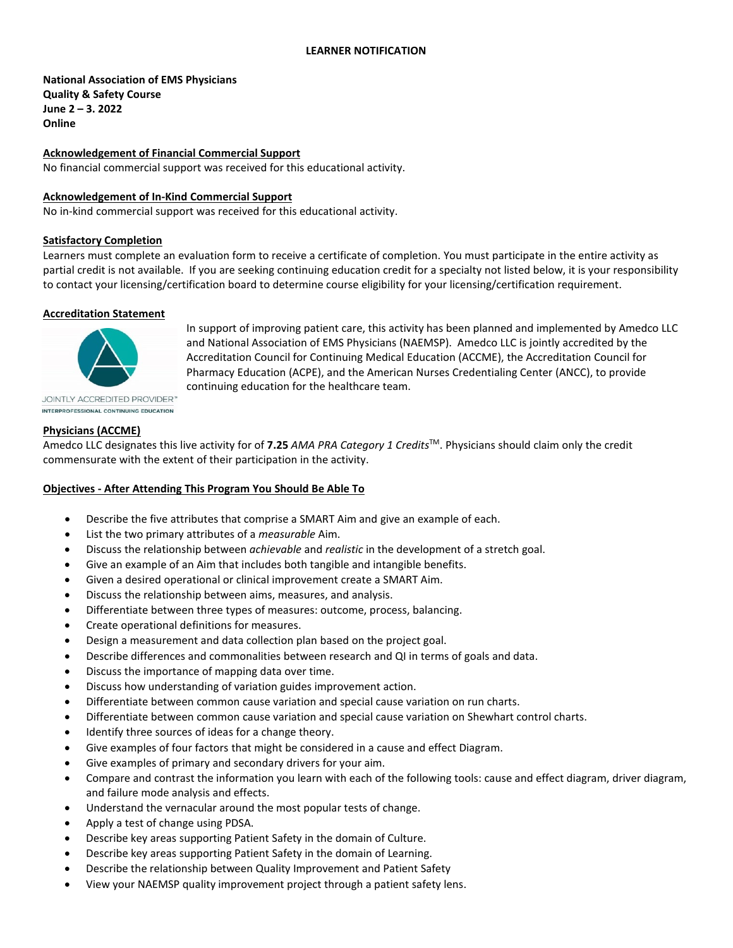#### **LEARNER NOTIFICATION**

# **National Association of EMS Physicians Quality & Safety Course June 2 – 3. 2022 Online**

### **Acknowledgement of Financial Commercial Support**

No financial commercial support was received for this educational activity.

### **Acknowledgement of In-Kind Commercial Support**

No in-kind commercial support was received for this educational activity.

#### **Satisfactory Completion**

Learners must complete an evaluation form to receive a certificate of completion. You must participate in the entire activity as partial credit is not available. If you are seeking continuing education credit for a specialty not listed below, it is your responsibility to contact your licensing/certification board to determine course eligibility for your licensing/certification requirement.

#### **Accreditation Statement**



In support of improving patient care, this activity has been planned and implemented by Amedco LLC and National Association of EMS Physicians (NAEMSP). Amedco LLC is jointly accredited by the Accreditation Council for Continuing Medical Education (ACCME), the Accreditation Council for Pharmacy Education (ACPE), and the American Nurses Credentialing Center (ANCC), to provide continuing education for the healthcare team.

**JOINTLY ACCREDITED PROVIDER"** INTERPROFESSIONAL CONTINUING EDUCATION

### **Physicians (ACCME)**

Amedco LLC designates this live activity for of **7.25** *AMA PRA Category 1 Credits*TM. Physicians should claim only the credit commensurate with the extent of their participation in the activity.

#### **Objectives - After Attending This Program You Should Be Able To**

- Describe the five attributes that comprise a SMART Aim and give an example of each.
- List the two primary attributes of a *measurable* Aim.
- Discuss the relationship between *achievable* and *realistic* in the development of a stretch goal.
- Give an example of an Aim that includes both tangible and intangible benefits.
- Given a desired operational or clinical improvement create a SMART Aim.
- Discuss the relationship between aims, measures, and analysis.
- Differentiate between three types of measures: outcome, process, balancing.
- Create operational definitions for measures.
- Design a measurement and data collection plan based on the project goal.
- Describe differences and commonalities between research and QI in terms of goals and data.
- Discuss the importance of mapping data over time.
- Discuss how understanding of variation guides improvement action.
- Differentiate between common cause variation and special cause variation on run charts.
- Differentiate between common cause variation and special cause variation on Shewhart control charts.
- Identify three sources of ideas for a change theory.
- Give examples of four factors that might be considered in a cause and effect Diagram.
- Give examples of primary and secondary drivers for your aim.
- Compare and contrast the information you learn with each of the following tools: cause and effect diagram, driver diagram, and failure mode analysis and effects.
- Understand the vernacular around the most popular tests of change.
- Apply a test of change using PDSA.
- Describe key areas supporting Patient Safety in the domain of Culture.
- Describe key areas supporting Patient Safety in the domain of Learning.
- Describe the relationship between Quality Improvement and Patient Safety
- View your NAEMSP quality improvement project through a patient safety lens.